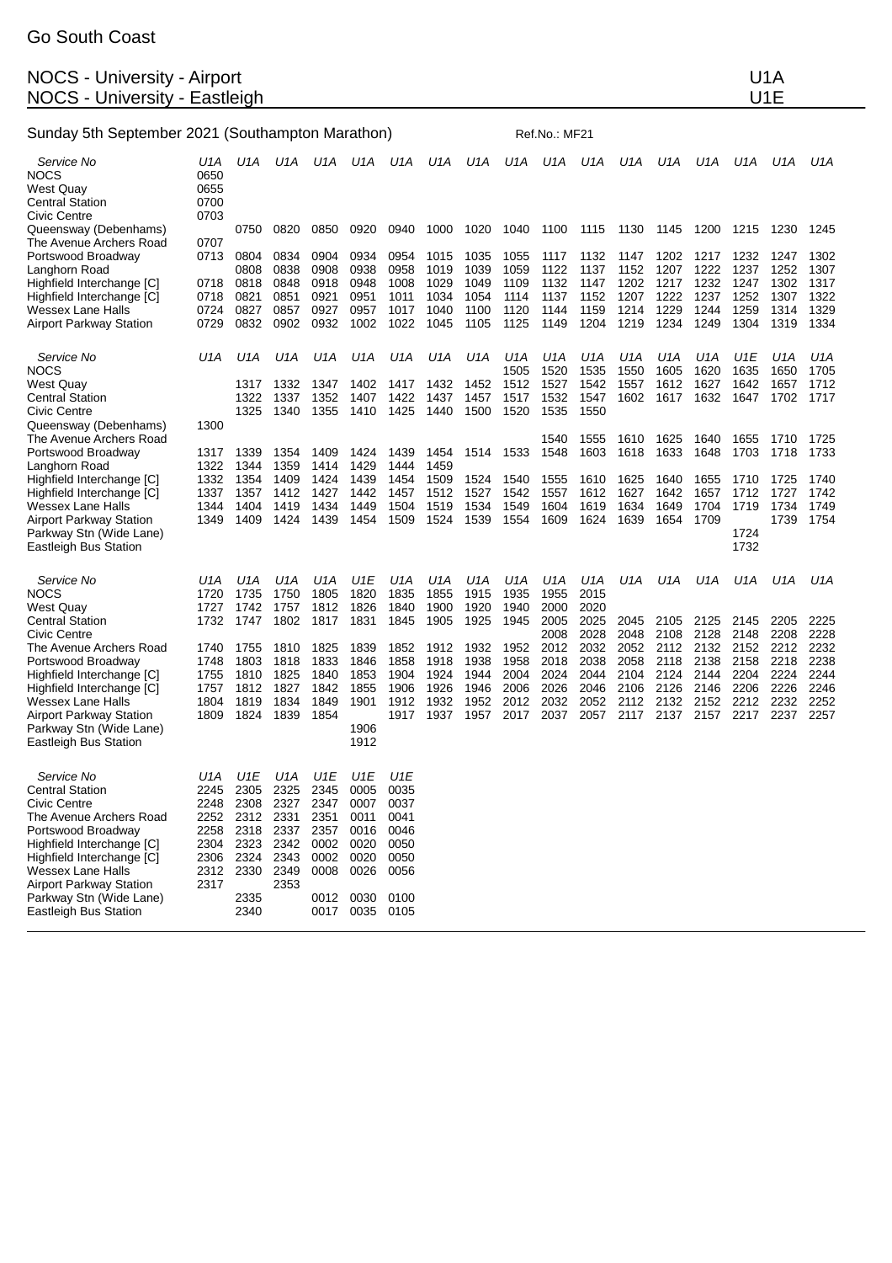## NOCS - University - Airport No. 2008. The Second State Control of American Control of American Control of American Control of American Control of American Control of American Control of American Control of American Control NOCS - University - Eastleigh U1E

| Sunday 5th September 2021 (Southampton Marathon)                                                                                                                                                         |                                                                     |                                                             |                                                                     |                                                             |                                                                       |                                             | Ref.No.: MF21                        |                                      |                                      |                                      |                                      |                                      |                                      |                                      |                                      |                                      |                                      |
|----------------------------------------------------------------------------------------------------------------------------------------------------------------------------------------------------------|---------------------------------------------------------------------|-------------------------------------------------------------|---------------------------------------------------------------------|-------------------------------------------------------------|-----------------------------------------------------------------------|---------------------------------------------|--------------------------------------|--------------------------------------|--------------------------------------|--------------------------------------|--------------------------------------|--------------------------------------|--------------------------------------|--------------------------------------|--------------------------------------|--------------------------------------|--------------------------------------|
| Service No<br>NOCS<br>West Quay<br>Central Station<br>Civic Centre                                                                                                                                       | U1A<br>0650<br>0655<br>0700<br>0703                                 | U1A                                                         | U1A                                                                 | U1A                                                         | U1A                                                                   | U1A                                         | U1A                                  | U1A                                  | U1A                                  | U1A                                  | U1A                                  | U1A                                  | U1A                                  | U1A                                  | U1A                                  | U1A                                  | U1A                                  |
| Queensway (Debenhams)                                                                                                                                                                                    |                                                                     | 0750                                                        | 0820                                                                | 0850                                                        | 0920                                                                  | 0940                                        | 1000                                 | 1020                                 | 1040                                 | 1100                                 | 1115                                 | 1130                                 | 1145                                 | 1200                                 | 1215                                 | 1230                                 | 1245                                 |
| The Avenue Archers Road<br>Portswood Broadway<br>Langhorn Road                                                                                                                                           | 0707<br>0713                                                        | 0804<br>0808                                                | 0834<br>0838                                                        | 0904<br>0908                                                | 0934<br>0938                                                          | 0954<br>0958                                | 1015<br>1019                         | 1035<br>1039                         | 1055<br>1059                         | 1117<br>1122                         | 1132<br>1137                         | 1147<br>1152                         | 1202<br>1207                         | 1217<br>1222                         | 1232<br>1237                         | 1247<br>1252                         | 1302<br>1307                         |
| Highfield Interchange [C]<br>Highfield Interchange [C]<br>Wessex Lane Halls<br>Airport Parkway Station                                                                                                   | 0718<br>0718<br>0724<br>0729                                        | 0818<br>0821<br>0827<br>0832                                | 0848<br>0851<br>0857<br>0902                                        | 0918<br>0921<br>0927<br>0932                                | 0948<br>0951<br>0957<br>1002                                          | 1008<br>1011<br>1017<br>1022                | 1029<br>1034<br>1040<br>1045         | 1049<br>1054<br>1100<br>1105         | 1109<br>1114<br>1120<br>1125         | 1132<br>1137<br>1144<br>1149         | 1147<br>1152<br>1159<br>1204         | 1202<br>1207<br>1214<br>1219         | 1217<br>1222<br>1229<br>1234         | 1232<br>1237<br>1244<br>1249         | 1247<br>1252<br>1259<br>1304         | 1302<br>1307<br>1314<br>1319         | 1317<br>1322<br>1329<br>1334         |
| Service No<br>NOCS                                                                                                                                                                                       | U1A                                                                 | U1A                                                         | U1A                                                                 | U1A                                                         | U1A                                                                   | U1A                                         | U1A<br>1432                          | U1A<br>1452                          | U1A<br>1505                          | U1A<br>1520                          | U1A<br>1535                          | U1A<br>1550                          | U1A<br>1605                          | U1A<br>1620                          | U1E<br>1635                          | U <sub>1</sub> A<br>1650             | U1A<br>1705                          |
| West Quay<br>Central Station<br>Civic Centre<br>Queensway (Debenhams)                                                                                                                                    | 1300                                                                | 1317<br>1322<br>1325                                        | 1332<br>1337<br>1340                                                | 1347<br>1352<br>1355                                        | 1402<br>1407<br>1410                                                  | 1417<br>1422<br>1425                        | 1437<br>1440                         | 1457<br>1500                         | 1512<br>1517<br>1520                 | 1527<br>1532<br>1535                 | 1542<br>1547<br>1550                 | 1557<br>1602                         | 1612<br>1617                         | 1627<br>1632                         | 1642<br>1647                         | 1657<br>1702                         | 1712<br>1717                         |
| The Avenue Archers Road<br>Portswood Broadway<br>Langhorn Road                                                                                                                                           | 1317<br>1322                                                        | 1339<br>1344                                                | 1354<br>1359                                                        | 1409<br>1414                                                | 1424<br>1429                                                          | 1439<br>1444                                | 1454<br>1459                         | 1514                                 | 1533                                 | 1540<br>1548                         | 1555<br>1603                         | 1610<br>1618                         | 1625<br>1633                         | 1640<br>1648                         | 1655<br>1703                         | 1710<br>1718                         | 1725<br>1733                         |
| Highfield Interchange [C]<br>Highfield Interchange [C]<br>Wessex Lane Halls<br>Airport Parkway Station<br>Parkway Stn (Wide Lane)<br>Eastleigh Bus Station                                               | 1332<br>1337<br>1344<br>1349                                        | 1354<br>1357<br>1404<br>1409                                | 1409<br>1412<br>1419<br>1424                                        | 1424<br>1427<br>1434<br>1439                                | 1439<br>1442<br>1449<br>1454                                          | 1454<br>1457<br>1504<br>1509                | 1509<br>1512<br>1519<br>1524         | 1524<br>1527<br>1534<br>1539         | 1540<br>1542<br>1549<br>1554         | 1555<br>1557<br>1604<br>1609         | 1610<br>1612<br>1619<br>1624         | 1625<br>1627<br>1634<br>1639         | 1640<br>1642<br>1649<br>1654         | 1655<br>1657<br>1704<br>1709         | 1710<br>1712<br>1719<br>1724<br>1732 | 1725<br>1727<br>1734<br>1739         | 1740<br>1742<br>1749<br>1754         |
| Service No<br>NOCS<br>West Quay                                                                                                                                                                          | U1A<br>1720<br>1727                                                 | U1A<br>1735<br>1742                                         | U1A<br>1750<br>1757                                                 | U1A<br>1805<br>1812                                         | U1E<br>1820<br>1826                                                   | U1A<br>1835<br>1840                         | U1A<br>1855<br>1900                  | U1A<br>1915<br>1920                  | U1A<br>1935<br>1940                  | U1A<br>1955<br>2000                  | U1A<br>2015<br>2020                  | U1A                                  | U1A                                  | U1A                                  | U1A                                  | U1A                                  | U1A                                  |
| Central Station<br>Civic Centre                                                                                                                                                                          | 1732                                                                | 1747                                                        | 1802                                                                | 1817                                                        | 1831                                                                  | 1845                                        | 1905                                 | 1925                                 | 1945                                 | 2005<br>2008                         | 2025<br>2028                         | 2045<br>2048                         | 2105<br>2108                         | 2125<br>2128                         | 2145<br>2148                         | 2205<br>2208                         | 2225<br>2228                         |
| The Avenue Archers Road<br>Portswood Broadway<br>Highfield Interchange [C]<br>Highfield Interchange [C]<br>Wessex Lane Halls                                                                             | 1740<br>1748<br>1755<br>1757<br>1804                                | 1755<br>1803<br>1810<br>1812<br>1819                        | 1810<br>1818<br>1825<br>1827<br>1834                                | 1825<br>1833<br>1840<br>1842<br>1849                        | 1839<br>1846<br>1853<br>1855<br>1901                                  | 1852<br>1858<br>1904<br>1906<br>1912        | 1912<br>1918<br>1924<br>1926<br>1932 | 1932<br>1938<br>1944<br>1946<br>1952 | 1952<br>1958<br>2004<br>2006<br>2012 | 2012<br>2018<br>2024<br>2026<br>2032 | 2032<br>2038<br>2044<br>2046<br>2052 | 2052<br>2058<br>2104<br>2106<br>2112 | 2112<br>2118<br>2124<br>2126<br>2132 | 2132<br>2138<br>2144<br>2146<br>2152 | 2152<br>2158<br>2204<br>2206<br>2212 | 2212<br>2218<br>2224<br>2226<br>2232 | 2232<br>2238<br>2244<br>2246<br>2252 |
| Airport Parkway Station<br>Parkway Stn (Wide Lane)<br>Eastleigh Bus Station                                                                                                                              | 1809                                                                | 1824                                                        | 1839                                                                | 1854                                                        | 1906<br>1912                                                          | 1917                                        | 1937                                 | 1957                                 | 2017                                 | 2037                                 | 2057                                 | 2117                                 | 2137                                 | 2157                                 | 2217                                 | 2237                                 | 2257                                 |
| Service No<br>Central Station<br>Civic Centre<br>The Avenue Archers Road<br>Portswood Broadway<br>Highfield Interchange [C]<br>Highfield Interchange [C]<br>Wessex Lane Halls<br>Airport Parkway Station | U1A<br>2245<br>2248<br>2252<br>2258<br>2304<br>2306<br>2312<br>2317 | U1E<br>2305<br>2308<br>2312<br>2318<br>2323<br>2324<br>2330 | U1A<br>2325<br>2327<br>2331<br>2337<br>2342<br>2343<br>2349<br>2353 | U1E<br>2345<br>2347<br>2351<br>2357<br>0002<br>0002<br>0008 | U1E<br>0005<br>0007<br>0011<br>0016<br>0020<br>0020 0050<br>0026 0056 | U1E<br>0035<br>0037<br>0041<br>0046<br>0050 |                                      |                                      |                                      |                                      |                                      |                                      |                                      |                                      |                                      |                                      |                                      |
| Parkway Stn (Wide Lane)<br><b>Eastleigh Bus Station</b>                                                                                                                                                  |                                                                     | 2335<br>2340                                                |                                                                     |                                                             | 0012 0030 0100<br>0017 0035 0105                                      |                                             |                                      |                                      |                                      |                                      |                                      |                                      |                                      |                                      |                                      |                                      |                                      |